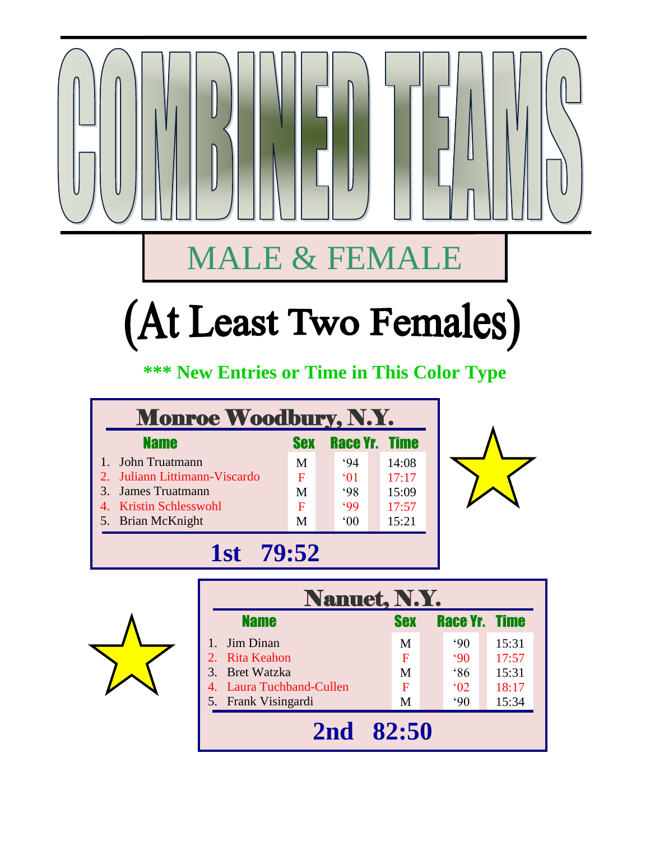## MALE & FEMALE

## (At Least Two Females)

## **\*\*\* New Entries or Time in This Color Type**

| <b>Monroe Woodbury, N.Y.</b>  |            |                      |       |  |  |  |  |
|-------------------------------|------------|----------------------|-------|--|--|--|--|
| <b>Name</b>                   | <b>Sex</b> | <b>Race Yr. Time</b> |       |  |  |  |  |
| 1. John Truatmann             | M          | .94                  | 14:08 |  |  |  |  |
| 2. Juliann Littimann-Viscardo | F          | $^{\circ}$ 01        | 17:17 |  |  |  |  |
| 3. James Truatmann            | M          | 98                   | 15:09 |  |  |  |  |
| 4. Kristin Schlesswohl        | F          | 99                   | 17:57 |  |  |  |  |
| 5. Brian McKnight             | M          | $00^{\circ}$         | 15:21 |  |  |  |  |
| 1st<br>79:52                  |            |                      |       |  |  |  |  |





| <b>Nanuet, N.Y.</b>      |            |                      |       |  |  |  |
|--------------------------|------------|----------------------|-------|--|--|--|
| <b>Name</b>              | <b>Sex</b> | <b>Race Yr. Time</b> |       |  |  |  |
| Jim Dinan                | M          | $90^\circ$           | 15:31 |  |  |  |
| 2. Rita Keahon           | F          | $90^\circ$           | 17:57 |  |  |  |
| 3. Bret Watzka           | M          | 86                   | 15:31 |  |  |  |
| 4. Laura Tuchband-Cullen | F          | $^{6}$ (02)          | 18:17 |  |  |  |
| 5. Frank Visingardi      | M          | $90^\circ$           | 15:34 |  |  |  |
| 2nd 82:50                |            |                      |       |  |  |  |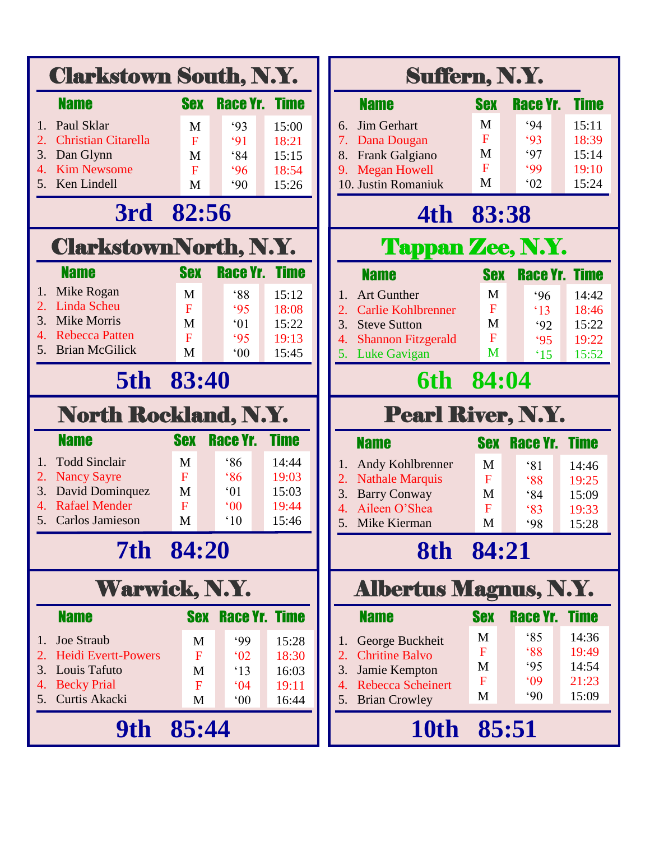|                       | <b>Clarkstown South, N.Y.</b>                  |                  |                              |                | Suffern, N.Y.                                     |                |                      |             |
|-----------------------|------------------------------------------------|------------------|------------------------------|----------------|---------------------------------------------------|----------------|----------------------|-------------|
|                       | <b>Name</b>                                    | <b>Sex</b>       | <b>Race Yr. Time</b>         |                | <b>Name</b>                                       | <b>Sex</b>     | Race Yr.             | <b>Time</b> |
| 1.                    | Paul Sklar                                     | M                | 93                           | 15:00          | Jim Gerhart<br>6.                                 | M              | .94                  | 15:11       |
| 2.                    | <b>Christian Citarella</b>                     | $\mathbf F$      | 91                           | 18:21          | 7.<br>Dana Dougan                                 | F              | 93                   | 18:39       |
| 3.                    | Dan Glynn                                      | M                | 84                           | 15:15          | Frank Galgiano<br>8.                              | M              | 97                   | 15:14       |
| $\mathcal{A}_{\cdot}$ | <b>Kim Newsome</b>                             | $\mathbf{F}$     | 96                           | 18:54          | <b>Megan Howell</b><br>9.                         | $\overline{F}$ | .99                  | 19:10       |
| 5.                    | Ken Lindell                                    | M                | $90^\circ$                   | 15:26          | 10. Justin Romaniuk                               | M              | 02                   | 15:24       |
|                       | 3rd 82:56                                      |                  |                              |                | 4th                                               | 83:38          |                      |             |
|                       | <b>ClarkstownNorth, N.Y.</b>                   |                  |                              |                | <b>Tappan Zee, N.Y.</b>                           |                |                      |             |
|                       | <b>Name</b>                                    | <b>Sex</b>       | <b>Race Yr. Time</b>         |                | <b>Name</b>                                       | <b>Sex</b>     | <b>Race Yr. Time</b> |             |
| 1.                    | Mike Rogan                                     | M                | 88                           | 15:12          | <b>Art Gunther</b><br>1.                          | M              | .96                  | 14:42       |
| 2.                    | Linda Scheu                                    | F                | 95                           | 18:08          | <b>Carlie Kohlbrenner</b><br>2.                   | F              | $\cdot$ 13           | 18:46       |
| 3.                    | <b>Mike Morris</b>                             | M                | $^{\circ}01$                 | 15:22          | 3.<br><b>Steve Sutton</b>                         | M              | 92                   | 15:22       |
| 5.                    | <b>Rebecca Patten</b><br><b>Brian McGilick</b> | F                | 95                           | 19:13          | <b>Shannon Fitzgerald</b><br>4.                   | F              | 95                   | 19:22       |
|                       |                                                | M                | $00^{\circ}$                 | 15:45          | 5. Luke Gavigan                                   | M              | $^{\circ}15$         | 15:52       |
|                       | 5th                                            | 83:40            |                              |                | 6th                                               | 84:04          |                      |             |
|                       | <b>North Rockland, N.Y.</b>                    |                  |                              |                | <b>Pearl River, N.Y.</b>                          |                |                      |             |
|                       | <b>Name</b>                                    | <b>Sex</b>       | Race Yr.                     | <b>Time</b>    | <b>Name</b>                                       | <b>Sex</b>     | <b>Race Yr. Time</b> |             |
| 1.                    | <b>Todd Sinclair</b>                           | M                | 86                           | 14:44          | Andy Kohlbrenner<br>1.                            | M              | 81                   | 14:46       |
| 2.                    | <b>Nancy Sayre</b>                             | $\mathbf F$      | 86                           | 19:03          | $\overline{2}$ .<br><b>Nathale Marquis</b>        | F              | $88^\circ$           | 19:25       |
| 3.                    | David Dominquez                                | M                | $^{\circ}01$                 | 15:03          | 3.<br><b>Barry Conway</b>                         | M              | 84                   | 15:09       |
| 4.<br>5.              | <b>Rafael Mender</b><br>Carlos Jamieson        | $\mathbf F$<br>M | $^{\circ}00$<br>$^{\circ}10$ | 19:44<br>15:46 | Aileen O'Shea<br>4.                               | F              | 83                   | 19:33       |
|                       |                                                |                  |                              |                | 5.<br>Mike Kierman                                | M              | 98                   | 15:28       |
|                       | 7th 84:20                                      |                  |                              |                | 8th 84:21                                         |                |                      |             |
|                       | <b>Warwick, N.Y.</b>                           |                  |                              |                | <b>Albertus Magnus, N.Y.</b>                      |                |                      |             |
|                       | <b>Name</b>                                    |                  | <b>Sex Race Yr. Time</b>     |                | <b>Name</b>                                       | <b>Sex</b>     | Race Yr.             | <b>Time</b> |
| 1.                    | <b>Joe Straub</b>                              | M                | .99                          | 15:28          | George Buckheit<br>1.                             | M              | 85                   | 14:36       |
| 2.                    | <b>Heidi Evertt-Powers</b>                     | $\mathbf{F}$     | 02                           | 18:30          | <b>Chritine Balvo</b><br>2.                       | F              | 88                   | 19:49       |
| 3.                    | Louis Tafuto                                   | M                | $\cdot$ 13                   | 16:03          | 3.<br>Jamie Kempton                               | M              | 95                   | 14:54       |
| 4.                    | <b>Becky Prial</b>                             | $\overline{F}$   | 04                           | 19:11          | <b>Rebecca Scheinert</b><br>$\mathcal{A}_{\cdot}$ | F              | 09                   | 21:23       |
| 5.                    | Curtis Akacki                                  | M                | $00^{\circ}$                 | 16:44          | <b>Brian Crowley</b><br>5.                        | M              | $90^\circ$           | 15:09       |
|                       | 9th 85:44                                      |                  |                              |                | 10th 85:51                                        |                |                      |             |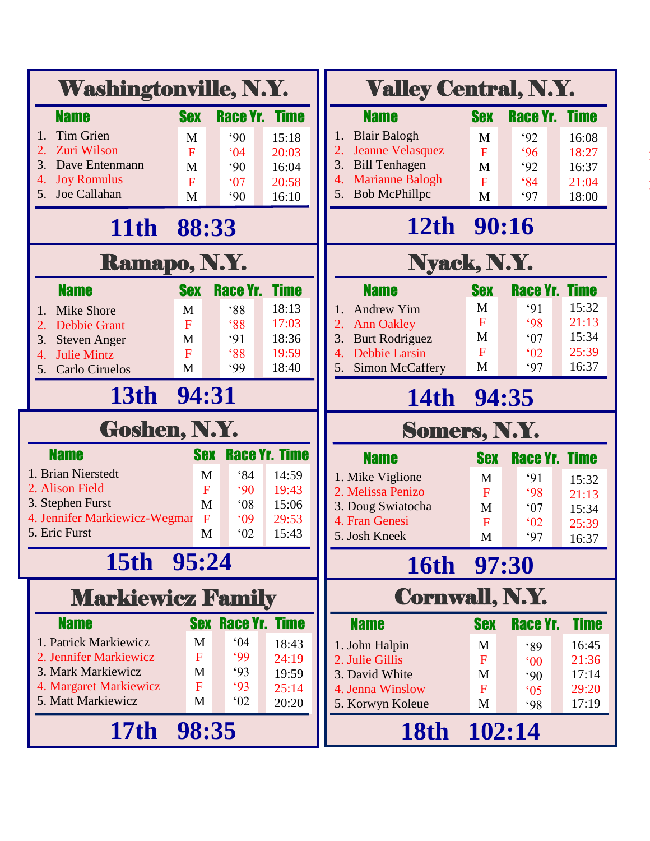|                                                  | <b>Washingtonville, N.Y.</b> |                            |                      | <b>Valley Central, N.Y.</b>                                |                   |                      |                |
|--------------------------------------------------|------------------------------|----------------------------|----------------------|------------------------------------------------------------|-------------------|----------------------|----------------|
| <b>Name</b>                                      | <b>Sex</b>                   | <b>Race Yr. Time</b>       |                      | <b>Name</b>                                                | <b>Sex</b>        | Race Yr.             | <b>Time</b>    |
| <b>Tim Grien</b><br>1.                           | M                            | $90^\circ$                 | 15:18                | <b>Blair Balogh</b>                                        | M                 | 92                   | 16:08          |
| Zuri Wilson<br>2.                                | $\overline{F}$               | 04                         | 20:03                | <b>Jeanne Velasquez</b><br>2.                              | F                 | 96                   | 18:27          |
| 3.<br>Dave Entenmann<br>4.                       | M                            | $90^\circ$                 | 16:04                | 3.<br><b>Bill Tenhagen</b><br><b>Marianne Balogh</b><br>4. | M                 | 92                   | 16:37          |
| <b>Joy Romulus</b><br>Joe Callahan<br>5.         | $\overline{F}$<br>M          | 07<br>$90^\circ$           | 20:58<br>16:10       | <b>Bob McPhillpc</b><br>5.                                 | $\mathbf{F}$<br>M | 84<br>97             | 21:04<br>18:00 |
| 11th 88:33                                       |                              |                            |                      | 12th 90:16                                                 |                   |                      |                |
| Ramapo, N.Y.                                     |                              |                            |                      | Nyack, N.Y.                                                |                   |                      |                |
| <b>Name</b>                                      | <b>Sex</b>                   | Race Yr.                   | <b>Time</b>          | <b>Name</b>                                                | <b>Sex</b>        | Race Yr.             | <b>Time</b>    |
| <b>Mike Shore</b><br>1.                          | M                            | 88                         | 18:13                | <b>Andrew Yim</b><br>1.                                    | M                 | 91                   | 15:32          |
| <b>Debbie Grant</b><br>2.                        | F                            | 88                         | 17:03                | <b>Ann Oakley</b><br>2.                                    | F                 | 98                   | 21:13          |
| 3.<br><b>Steven Anger</b>                        | M                            | 91                         | 18:36                | <b>Burt Rodriguez</b><br>3.                                | M<br>$\mathbf F$  | 07                   | 15:34          |
| <b>Julie Mintz</b><br>4.<br>Carlo Ciruelos<br>5. | $\overline{F}$<br>M          | 88<br>.99                  | 19:59<br>18:40       | <b>Debbie Larsin</b><br>4.<br><b>Simon McCaffery</b><br>5. | M                 | 02<br>97             | 25:39<br>16:37 |
| 13th 94:31                                       |                              |                            |                      |                                                            |                   |                      |                |
|                                                  |                              |                            |                      | 14th 94:35                                                 |                   |                      |                |
| Goshen, N.Y.                                     |                              |                            |                      | Somers, N.Y.                                               |                   |                      |                |
| <b>Name</b>                                      | <b>Sex</b>                   |                            | <b>Race Yr. Time</b> | <b>Name</b>                                                | <b>Sex</b>        | <b>Race Yr. Time</b> |                |
| 1. Brian Nierstedt                               | M                            | 84                         | 14:59                | 1. Mike Viglione                                           | M                 | 91                   | 15:32          |
| 2. Alison Field<br>3. Stephen Furst              | F<br>M                       | $90^\circ$<br>$^{\circ}08$ | 19:43<br>15:06       | 2. Melissa Penizo                                          | $\mathbf F$       | 98                   | 21:13          |
| 4. Jennifer Markiewicz-Wegmar                    | $\mathbf F$                  | 09                         | 29:53                | 3. Doug Swiatocha<br>4. Fran Genesi                        | M<br>$\mathbf F$  | 07<br>02             | 15:34<br>25:39 |
| 5. Eric Furst                                    | M                            | 02                         | 15:43                | 5. Josh Kneek                                              | M                 | 97                   | 16:37          |
| 15th 95:24                                       |                              |                            |                      | 16th 97:30                                                 |                   |                      |                |
| <b>Markiewicz Family</b>                         |                              |                            |                      | <b>Cornwall, N.Y.</b>                                      |                   |                      |                |
| <b>Name</b>                                      | <b>Sex</b>                   | <b>Race Yr. Time</b>       |                      | <b>Name</b>                                                | <b>Sex</b>        | Race Yr.             | <b>Time</b>    |
| 1. Patrick Markiewicz                            | M                            | 04                         | 18:43                | 1. John Halpin                                             | M                 | 89                   | 16:45          |
| 2. Jennifer Markiewicz                           | $\mathbf F$                  | 99                         | 24:19                | 2. Julie Gillis                                            | $\mathbf{F}$      | $^{\circ}00$         | 21:36          |
| 3. Mark Markiewicz<br>4. Margaret Markiewicz     | M<br>$\mathbf F$             | 93<br>93                   | 19:59                | 3. David White                                             | M                 | $90^\circ$           | 17:14          |
| 5. Matt Markiewicz                               | M                            | 02                         | 25:14<br>20:20       | 4. Jenna Winslow<br>5. Korwyn Koleue                       | F<br>M            | $^{\circ}05$<br>98   | 29:20<br>17:19 |
| 17th 98:35                                       |                              |                            |                      | 18th 102:14                                                |                   |                      |                |